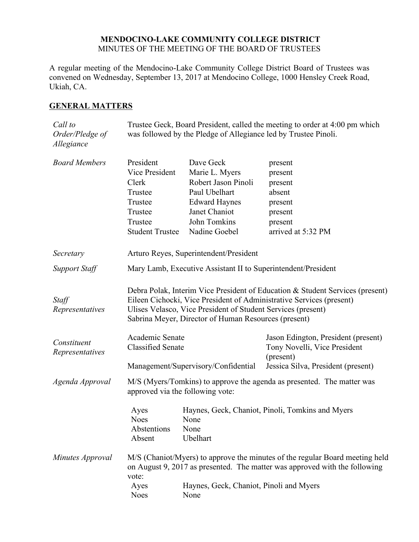## **MENDOCINO-LAKE COMMUNITY COLLEGE DISTRICT** MINUTES OF THE MEETING OF THE BOARD OF TRUSTEES

A regular meeting of the Mendocino-Lake Community College District Board of Trustees was convened on Wednesday, September 13, 2017 at Mendocino College, 1000 Hensley Creek Road, Ukiah, CA.

# **GENERAL MATTERS**

| Call to<br>Order/Pledge of<br>Allegiance | Trustee Geck, Board President, called the meeting to order at 4:00 pm which<br>was followed by the Pledge of Allegiance led by Trustee Pinoli.                                                                                                                                |                                                                                                                                               |                                                                                                |
|------------------------------------------|-------------------------------------------------------------------------------------------------------------------------------------------------------------------------------------------------------------------------------------------------------------------------------|-----------------------------------------------------------------------------------------------------------------------------------------------|------------------------------------------------------------------------------------------------|
| <b>Board Members</b>                     | President<br>Vice President<br>Clerk<br>Trustee<br>Trustee<br>Trustee<br>Trustee<br><b>Student Trustee</b>                                                                                                                                                                    | Dave Geck<br>Marie L. Myers<br>Robert Jason Pinoli<br>Paul Ubelhart<br><b>Edward Haynes</b><br>Janet Chaniot<br>John Tomkins<br>Nadine Goebel | present<br>present<br>present<br>absent<br>present<br>present<br>present<br>arrived at 5:32 PM |
| Secretary                                | Arturo Reyes, Superintendent/President                                                                                                                                                                                                                                        |                                                                                                                                               |                                                                                                |
| <b>Support Staff</b>                     | Mary Lamb, Executive Assistant II to Superintendent/President                                                                                                                                                                                                                 |                                                                                                                                               |                                                                                                |
| Staff<br>Representatives                 | Debra Polak, Interim Vice President of Education & Student Services (present)<br>Eileen Cichocki, Vice President of Administrative Services (present)<br>Ulises Velasco, Vice President of Student Services (present)<br>Sabrina Meyer, Director of Human Resources (present) |                                                                                                                                               |                                                                                                |
| Constituent<br>Representatives           | Academic Senate<br><b>Classified Senate</b>                                                                                                                                                                                                                                   |                                                                                                                                               | Jason Edington, President (present)<br>Tony Novelli, Vice President<br>(present)               |
| Agenda Approval                          | Management/Supervisory/Confidential<br>Jessica Silva, President (present)<br>M/S (Myers/Tomkins) to approve the agenda as presented. The matter was<br>approved via the following vote:                                                                                       |                                                                                                                                               |                                                                                                |
|                                          | Ayes<br><b>Noes</b><br>Abstentions<br>Absent                                                                                                                                                                                                                                  | None<br>None<br>Ubelhart                                                                                                                      | Haynes, Geck, Chaniot, Pinoli, Tomkins and Myers                                               |
| Minutes Approval                         | M/S (Chaniot/Myers) to approve the minutes of the regular Board meeting held<br>on August 9, 2017 as presented. The matter was approved with the following<br>vote:                                                                                                           |                                                                                                                                               |                                                                                                |
|                                          | Ayes<br><b>Noes</b>                                                                                                                                                                                                                                                           | Haynes, Geck, Chaniot, Pinoli and Myers<br>None                                                                                               |                                                                                                |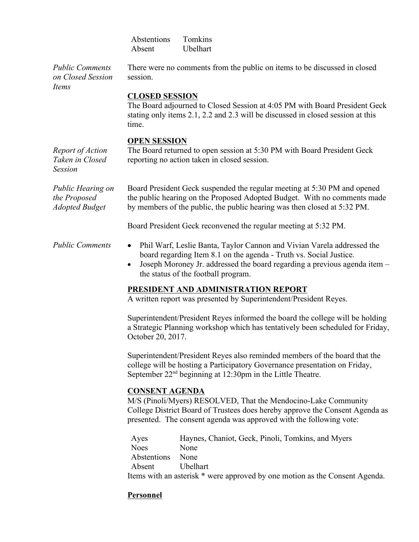Abstentions Tomkins Absent Ubelhart

*Public Comments on Closed Session Items*

*the Proposed* 

There were no comments from the public on items to be discussed in closed session.

## **CLOSED SESSION**

The Board adjourned to Closed Session at 4:05 PM with Board President Geck stating only items 2.1, 2.2 and 2.3 will be discussed in closed session at this time.

#### **OPEN SESSION**

*Report of Action Taken in Closed Session* The Board returned to open session at 5:30 PM with Board President Geck reporting no action taken in closed session.

*Public Hearing on Adopted Budget* Board President Geck suspended the regular meeting at 5:30 PM and opened the public hearing on the Proposed Adopted Budget. With no comments made by members of the public, the public hearing was then closed at 5:32 PM.

Board President Geck reconvened the regular meeting at 5:32 PM.

- *Public Comments* Phil Warf, Leslie Banta, Taylor Cannon and Vivian Varela addressed the board regarding Item 8.1 on the agenda - Truth vs. Social Justice.
	- $\bullet$  Joseph Moroney Jr. addressed the board regarding a previous agenda item the status of the football program.

# **PRESIDENT AND ADMINISTRATION REPORT**

A written report was presented by Superintendent/President Reyes.

Superintendent/President Reyes informed the board the college will be holding a Strategic Planning workshop which has tentatively been scheduled for Friday, October 20, 2017.

Superintendent/President Reyes also reminded members of the board that the college will be hosting a Participatory Governance presentation on Friday, September  $22<sup>nd</sup>$  beginning at 12:30pm in the Little Theatre.

## **CONSENT AGENDA**

M/S (Pinoli/Myers) RESOLVED, That the Mendocino-Lake Community College District Board of Trustees does hereby approve the Consent Agenda as presented. The consent agenda was approved with the following vote:

| Ayes        | Haynes, Chaniot, Geck, Pinoli, Tomkins, and Myers                           |
|-------------|-----------------------------------------------------------------------------|
| <b>Noes</b> | None                                                                        |
| Abstentions | None                                                                        |
| Absent      | Ubelhart                                                                    |
|             | Items with an asterisk * were approved by one motion as the Consent Agenda. |

# **Personnel**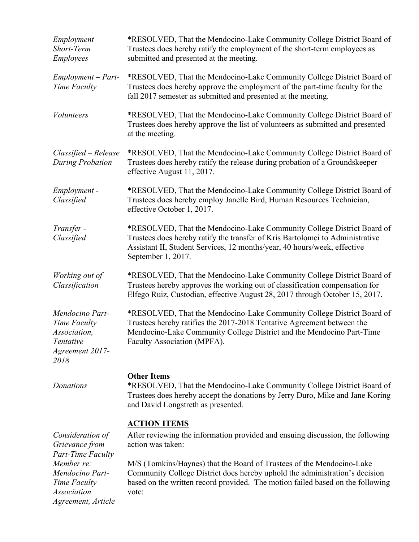| $Employment -$<br>Short-Term<br><b>Employees</b>                                                                | *RESOLVED, That the Mendocino-Lake Community College District Board of<br>Trustees does hereby ratify the employment of the short-term employees as<br>submitted and presented at the meeting.                                                                                                                                                                       |  |  |
|-----------------------------------------------------------------------------------------------------------------|----------------------------------------------------------------------------------------------------------------------------------------------------------------------------------------------------------------------------------------------------------------------------------------------------------------------------------------------------------------------|--|--|
| Employment - Part-<br>Time Faculty                                                                              | *RESOLVED, That the Mendocino-Lake Community College District Board of<br>Trustees does hereby approve the employment of the part-time faculty for the<br>fall 2017 semester as submitted and presented at the meeting.                                                                                                                                              |  |  |
| <i>Volunteers</i>                                                                                               | *RESOLVED, That the Mendocino-Lake Community College District Board of<br>Trustees does hereby approve the list of volunteers as submitted and presented<br>at the meeting.                                                                                                                                                                                          |  |  |
| $Classified - Release$<br><b>During Probation</b>                                                               | *RESOLVED, That the Mendocino-Lake Community College District Board of<br>Trustees does hereby ratify the release during probation of a Groundskeeper<br>effective August 11, 2017.                                                                                                                                                                                  |  |  |
| Employment -<br>Classified                                                                                      | *RESOLVED, That the Mendocino-Lake Community College District Board of<br>Trustees does hereby employ Janelle Bird, Human Resources Technician,<br>effective October 1, 2017.                                                                                                                                                                                        |  |  |
| Transfer -<br>Classified                                                                                        | *RESOLVED, That the Mendocino-Lake Community College District Board of<br>Trustees does hereby ratify the transfer of Kris Bartolomei to Administrative<br>Assistant II, Student Services, 12 months/year, 40 hours/week, effective<br>September 1, 2017.                                                                                                            |  |  |
| Working out of<br>Classification                                                                                | *RESOLVED, That the Mendocino-Lake Community College District Board of<br>Trustees hereby approves the working out of classification compensation for<br>Elfego Ruiz, Custodian, effective August 28, 2017 through October 15, 2017.                                                                                                                                 |  |  |
| Mendocino Part-<br>Time Faculty<br>Association,<br>Tentative<br>Agreement 2017-<br>2018                         | *RESOLVED, That the Mendocino-Lake Community College District Board of<br>Trustees hereby ratifies the 2017-2018 Tentative Agreement between the<br>Mendocino-Lake Community College District and the Mendocino Part-Time<br>Faculty Association (MPFA).                                                                                                             |  |  |
| Donations                                                                                                       | <b>Other Items</b><br>*RESOLVED, That the Mendocino-Lake Community College District Board of<br>Trustees does hereby accept the donations by Jerry Duro, Mike and Jane Koring<br>and David Longstreth as presented.                                                                                                                                                  |  |  |
| Consideration of<br>Grievance from<br><b>Part-Time Faculty</b><br>Member re:<br>Mendocino Part-<br>Time Faculty | <b>ACTION ITEMS</b><br>After reviewing the information provided and ensuing discussion, the following<br>action was taken:<br>M/S (Tomkins/Haynes) that the Board of Trustees of the Mendocino-Lake<br>Community College District does hereby uphold the administration's decision<br>based on the written record provided. The motion failed based on the following |  |  |
| <b>Association</b><br>Agreement, Article                                                                        | vote:                                                                                                                                                                                                                                                                                                                                                                |  |  |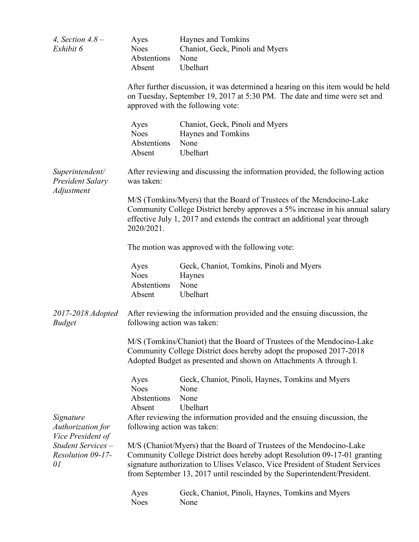| 4, Section $4.8 -$<br>Exhibit 6                                                                      | Ayes<br><b>Noes</b><br>Abstentions<br>Absent                                                                                                                                                                                                                                                                   | Haynes and Tomkins<br>Chaniot, Geck, Pinoli and Myers<br>None<br>Ubelhart     |  |
|------------------------------------------------------------------------------------------------------|----------------------------------------------------------------------------------------------------------------------------------------------------------------------------------------------------------------------------------------------------------------------------------------------------------------|-------------------------------------------------------------------------------|--|
|                                                                                                      | After further discussion, it was determined a hearing on this item would be held<br>on Tuesday, September 19, 2017 at 5:30 PM. The date and time were set and<br>approved with the following vote:                                                                                                             |                                                                               |  |
|                                                                                                      | Ayes<br><b>Noes</b><br>Abstentions<br>Absent                                                                                                                                                                                                                                                                   | Chaniot, Geck, Pinoli and Myers<br>Haynes and Tomkins<br>None<br>Ubelhart     |  |
| Superintendent/<br><b>President Salary</b><br>Adjustment                                             | was taken:                                                                                                                                                                                                                                                                                                     | After reviewing and discussing the information provided, the following action |  |
|                                                                                                      | M/S (Tomkins/Myers) that the Board of Trustees of the Mendocino-Lake<br>Community College District hereby approves a 5% increase in his annual salary<br>effective July 1, 2017 and extends the contract an additional year through<br>2020/2021.                                                              |                                                                               |  |
|                                                                                                      | The motion was approved with the following vote:                                                                                                                                                                                                                                                               |                                                                               |  |
|                                                                                                      | Ayes<br><b>Noes</b><br>Abstentions<br>Absent                                                                                                                                                                                                                                                                   | Geck, Chaniot, Tomkins, Pinoli and Myers<br>Haynes<br>None<br>Ubelhart        |  |
| 2017-2018 Adopted<br><b>Budget</b>                                                                   | following action was taken:                                                                                                                                                                                                                                                                                    | After reviewing the information provided and the ensuing discussion, the      |  |
|                                                                                                      | M/S (Tomkins/Chaniot) that the Board of Trustees of the Mendocino-Lake<br>Community College District does hereby adopt the proposed 2017-2018<br>Adopted Budget as presented and shown on Attachments A through I.                                                                                             |                                                                               |  |
|                                                                                                      | Ayes<br><b>Noes</b><br>Abstentions<br>Absent                                                                                                                                                                                                                                                                   | Geck, Chaniot, Pinoli, Haynes, Tomkins and Myers<br>None<br>None<br>Ubelhart  |  |
| Signature<br>Authorization for<br>Vice President of<br>Student Services -<br>Resolution 09-17-<br>01 | following action was taken:                                                                                                                                                                                                                                                                                    | After reviewing the information provided and the ensuing discussion, the      |  |
|                                                                                                      | M/S (Chaniot/Myers) that the Board of Trustees of the Mendocino-Lake<br>Community College District does hereby adopt Resolution 09-17-01 granting<br>signature authorization to Ulises Velasco, Vice President of Student Services<br>from September 13, 2017 until rescinded by the Superintendent/President. |                                                                               |  |
|                                                                                                      | Ayes<br><b>Noes</b>                                                                                                                                                                                                                                                                                            | Geck, Chaniot, Pinoli, Haynes, Tomkins and Myers<br>None                      |  |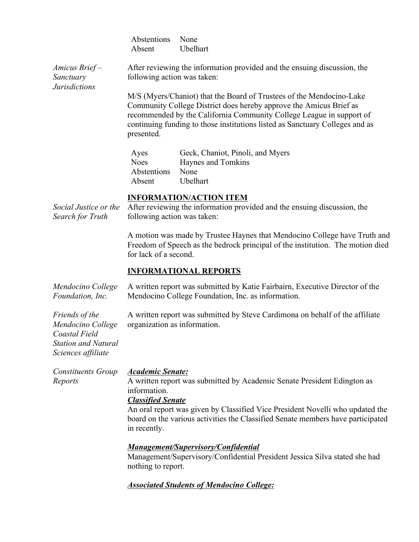|                                                                                                                 | Abstentions<br>Absent                                                                                                                                                                                                                                                                                                              | None<br>Ubelhart                                                                                                                                                                                                                                                                                   |  |
|-----------------------------------------------------------------------------------------------------------------|------------------------------------------------------------------------------------------------------------------------------------------------------------------------------------------------------------------------------------------------------------------------------------------------------------------------------------|----------------------------------------------------------------------------------------------------------------------------------------------------------------------------------------------------------------------------------------------------------------------------------------------------|--|
| Amicus Brief-<br>Sanctuary                                                                                      | After reviewing the information provided and the ensuing discussion, the<br>following action was taken:                                                                                                                                                                                                                            |                                                                                                                                                                                                                                                                                                    |  |
| <b>Jurisdictions</b>                                                                                            | presented.                                                                                                                                                                                                                                                                                                                         | M/S (Myers/Chaniot) that the Board of Trustees of the Mendocino-Lake<br>Community College District does hereby approve the Amicus Brief as<br>recommended by the California Community College League in support of<br>continuing funding to those institutions listed as Sanctuary Colleges and as |  |
|                                                                                                                 | Ayes<br><b>Noes</b><br>Abstentions<br>Absent                                                                                                                                                                                                                                                                                       | Geck, Chaniot, Pinoli, and Myers<br>Haynes and Tomkins<br>None<br>Ubelhart                                                                                                                                                                                                                         |  |
| Social Justice or the<br>Search for Truth                                                                       | following action was taken:                                                                                                                                                                                                                                                                                                        | <b>INFORMATION/ACTION ITEM</b><br>After reviewing the information provided and the ensuing discussion, the                                                                                                                                                                                         |  |
|                                                                                                                 | A motion was made by Trustee Haynes that Mendocino College have Truth and<br>Freedom of Speech as the bedrock principal of the institution. The motion died<br>for lack of a second.                                                                                                                                               |                                                                                                                                                                                                                                                                                                    |  |
|                                                                                                                 | <b>INFORMATIONAL REPORTS</b>                                                                                                                                                                                                                                                                                                       |                                                                                                                                                                                                                                                                                                    |  |
| Mendocino College<br>Foundation, Inc.                                                                           | A written report was submitted by Katie Fairbairn, Executive Director of the<br>Mendocino College Foundation, Inc. as information.                                                                                                                                                                                                 |                                                                                                                                                                                                                                                                                                    |  |
| Friends of the<br>Mendocino College<br><b>Coastal Field</b><br><b>Station and Natural</b><br>Sciences affiliate | A written report was submitted by Steve Cardimona on behalf of the affiliate<br>organization as information.                                                                                                                                                                                                                       |                                                                                                                                                                                                                                                                                                    |  |
| <b>Constituents Group</b><br>Reports                                                                            | <b>Academic Senate:</b><br>A written report was submitted by Academic Senate President Edington as<br>information.<br><b>Classified Senate</b><br>An oral report was given by Classified Vice President Novelli who updated the<br>board on the various activities the Classified Senate members have participated<br>in recently. |                                                                                                                                                                                                                                                                                                    |  |
|                                                                                                                 | <b>Management/Supervisory/Confidential</b><br>Management/Supervisory/Confidential President Jessica Silva stated she had<br>nothing to report.                                                                                                                                                                                     |                                                                                                                                                                                                                                                                                                    |  |
|                                                                                                                 |                                                                                                                                                                                                                                                                                                                                    | <b>Associated Students of Mendocino College:</b>                                                                                                                                                                                                                                                   |  |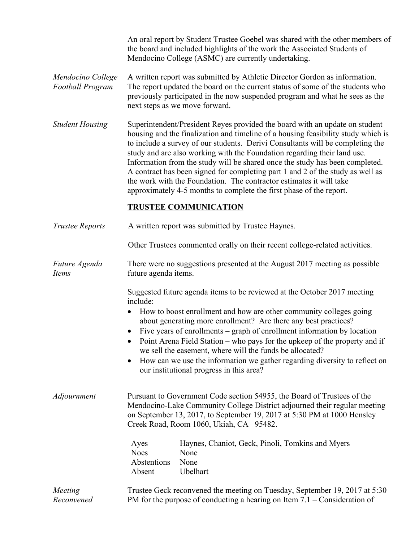An oral report by Student Trustee Goebel was shared with the other members of the board and included highlights of the work the Associated Students of Mendocino College (ASMC) are currently undertaking.

- *Mendocino College Football Program* A written report was submitted by Athletic Director Gordon as information. The report updated the board on the current status of some of the students who previously participated in the now suspended program and what he sees as the next steps as we move forward.
- *Student Housing* Superintendent/President Reyes provided the board with an update on student housing and the finalization and timeline of a housing feasibility study which is to include a survey of our students. Derivi Consultants will be completing the study and are also working with the Foundation regarding their land use. Information from the study will be shared once the study has been completed. A contract has been signed for completing part 1 and 2 of the study as well as the work with the Foundation. The contractor estimates it will take approximately 4-5 months to complete the first phase of the report.

## **TRUSTEE COMMUNICATION**

- *Trustee Reports* A written report was submitted by Trustee Haynes.
	- Other Trustees commented orally on their recent college-related activities.
- *Future Agenda Items* There were no suggestions presented at the August 2017 meeting as possible future agenda items.

Suggested future agenda items to be reviewed at the October 2017 meeting include:

- How to boost enrollment and how are other community colleges going about generating more enrollment? Are there any best practices?
- Five years of enrollments graph of enrollment information by location
- Point Arena Field Station who pays for the upkeep of the property and if we sell the easement, where will the funds be allocated?
- How can we use the information we gather regarding diversity to reflect on our institutional progress in this area?

*Adjournment* Pursuant to Government Code section 54955, the Board of Trustees of the Mendocino-Lake Community College District adjourned their regular meeting on September 13, 2017, to September 19, 2017 at 5:30 PM at 1000 Hensley Creek Road, Room 1060, Ukiah, CA 95482.

| Ayes             | Haynes, Chaniot, Geck, Pinoli, Tomkins and Myers |
|------------------|--------------------------------------------------|
| Noes             | None                                             |
| Abstentions None |                                                  |
| Absent           | Uhelhart                                         |

#### *Meeting Reconvened* Trustee Geck reconvened the meeting on Tuesday, September 19, 2017 at 5:30 PM for the purpose of conducting a hearing on Item 7.1 – Consideration of